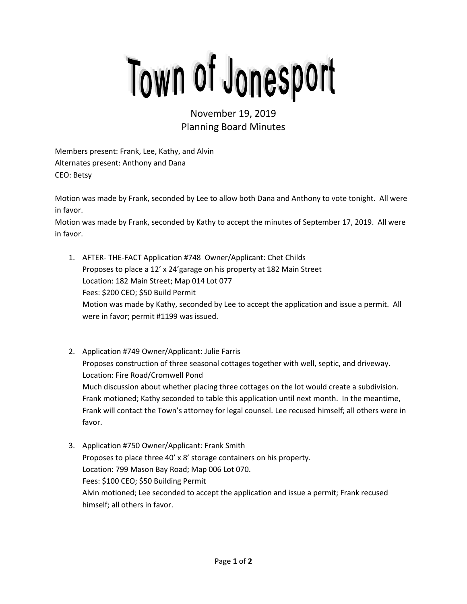## Town of Jonesport

November 19, 2019 Planning Board Minutes

Members present: Frank, Lee, Kathy, and Alvin Alternates present: Anthony and Dana CEO: Betsy

Motion was made by Frank, seconded by Lee to allow both Dana and Anthony to vote tonight. All were in favor.

Motion was made by Frank, seconded by Kathy to accept the minutes of September 17, 2019. All were in favor.

- 1. AFTER- THE-FACT Application #748 Owner/Applicant: Chet Childs Proposes to place a 12' x 24'garage on his property at 182 Main Street Location: 182 Main Street; Map 014 Lot 077 Fees: \$200 CEO; \$50 Build Permit Motion was made by Kathy, seconded by Lee to accept the application and issue a permit. All were in favor; permit #1199 was issued.
- 2. Application #749 Owner/Applicant: Julie Farris Proposes construction of three seasonal cottages together with well, septic, and driveway. Location: Fire Road/Cromwell Pond Much discussion about whether placing three cottages on the lot would create a subdivision. Frank motioned; Kathy seconded to table this application until next month. In the meantime, Frank will contact the Town's attorney for legal counsel. Lee recused himself; all others were in favor.
- 3. Application #750 Owner/Applicant: Frank Smith Proposes to place three 40' x 8' storage containers on his property. Location: 799 Mason Bay Road; Map 006 Lot 070. Fees: \$100 CEO; \$50 Building Permit Alvin motioned; Lee seconded to accept the application and issue a permit; Frank recused himself; all others in favor.